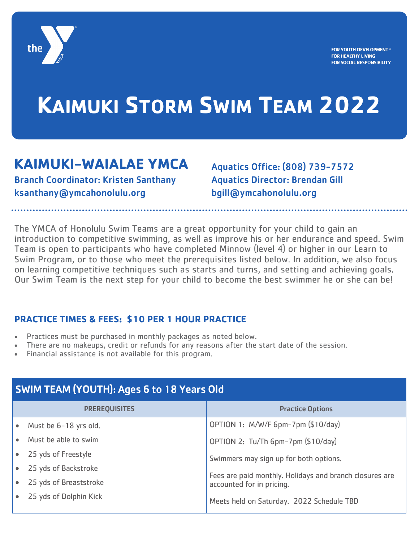

## **KAIMUKI STORM SWIM TEAM 2022**

### **KAIMUKI-WAIALAE YMCA**

Branch Coordinator: Kristen Santhany ksanthany@ymcahonolulu.org

Aquatics Office: (808) 739-7572 Aquatics Director: Brendan Gill bgill@ymcahonolulu.org

The YMCA of Honolulu Swim Teams are a great opportunity for your child to gain an introduction to competitive swimming, as well as improve his or her endurance and speed. Swim Team is open to participants who have completed Minnow (level 4) or higher in our Learn to Swim Program, or to those who meet the prerequisites listed below. In addition, we also focus on learning competitive techniques such as starts and turns, and setting and achieving goals. Our Swim Team is the next step for your child to become the best swimmer he or she can be!

#### **PRACTICE TIMES & FEES: \$10 PER 1 HOUR PRACTICE**

- Practices must be purchased in monthly packages as noted below.
- There are no makeups, credit or refunds for any reasons after the start date of the session.
- Financial assistance is not available for this program.

| <b>SWIM TEAM (YOUTH): Ages 6 to 18 Years Old</b> |                        |                                                                                      |
|--------------------------------------------------|------------------------|--------------------------------------------------------------------------------------|
|                                                  | <b>PREREQUISITES</b>   | <b>Practice Options</b>                                                              |
|                                                  | Must be 6-18 yrs old.  | OPTION 1: M/W/F 6pm-7pm (\$10/day)                                                   |
|                                                  | Must be able to swim   | OPTION 2: Tu/Th 6pm-7pm (\$10/day)                                                   |
|                                                  | 25 yds of Freestyle    | Swimmers may sign up for both options.                                               |
|                                                  | 25 yds of Backstroke   | Fees are paid monthly. Holidays and branch closures are<br>accounted for in pricing. |
|                                                  | 25 yds of Breaststroke |                                                                                      |
|                                                  | 25 yds of Dolphin Kick | Meets held on Saturday. 2022 Schedule TBD                                            |